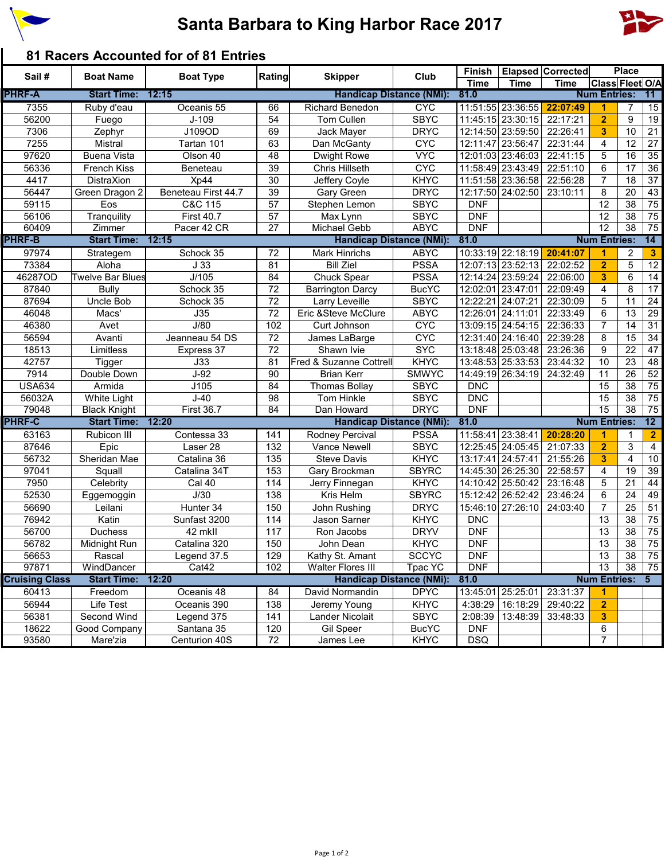

## **Santa Barbara to King Harbor Race 2017**



## **81 Racers Accounted for of 81 Entries**

| Sail#                 | <b>Boat Name</b>    | <b>Boat Type</b>    | Rating                          | <b>Skipper</b>                  | Club           |                          |                   | Finish   Elapsed   Corrected |                     | <b>Place</b>    |                 |
|-----------------------|---------------------|---------------------|---------------------------------|---------------------------------|----------------|--------------------------|-------------------|------------------------------|---------------------|-----------------|-----------------|
|                       |                     |                     |                                 |                                 |                | <b>Time</b>              | <b>Time</b>       | <b>Time</b>                  | Class Fleet O/A     |                 |                 |
| <b>PHRF-A</b>         | <b>Start Time:</b>  | 12:15               |                                 | <b>Handicap Distance (NMi):</b> |                | 81.0                     |                   |                              | <b>Num Entries:</b> |                 | 11 <sup>1</sup> |
| 7355                  | Ruby d'eau          | Oceanis 55          | 66                              | <b>Richard Benedon</b>          | <b>CYC</b>     |                          | 11:51:55 23:36:55 | 22:07:49                     | 1                   | 7               | 15              |
| 56200                 | Fuego               | $J-109$             | 54                              | Tom Cullen                      | <b>SBYC</b>    |                          | 11:45:15 23:30:15 | 22:17:21                     | $\overline{2}$      | 9               | 19              |
| 7306                  | Zephyr              | J109OD              | 69                              | Jack Mayer                      | <b>DRYC</b>    |                          | 12:14:50 23:59:50 | 22:26:41                     | 3                   | 10              | $\overline{21}$ |
| 7255                  | Mistral             | Tartan 101          | 63                              | Dan McGanty                     | <b>CYC</b>     |                          | 12:11:47 23:56:47 | 22:31:44                     | 4                   | 12              | 27              |
| 97620                 | <b>Buena Vista</b>  | Olson 40            | 48                              | <b>Dwight Rowe</b>              | <b>VYC</b>     |                          | 12:01:03 23:46:03 | 22:41:15                     | 5                   | 16              | 35              |
| 56336                 | French Kiss         | Beneteau            | 39                              | <b>Chris Hillseth</b>           | <b>CYC</b>     |                          | 11:58:49 23:43:49 | 22:51:10                     | 6                   | 17              | 36              |
| 4417                  | DistraXion          | Xp44                | 30                              | Jeffery Coyle                   | <b>KHYC</b>    |                          | 11:51:58 23:36:58 | 22:56:28                     | $\overline{7}$      | 18              | $\overline{37}$ |
| 56447                 | Green Dragon 2      | Beneteau First 44.7 | 39                              | Gary Green                      | <b>DRYC</b>    |                          | 12:17:50 24:02:50 | 23:10:11                     | 8                   | 20              | 43              |
| 59115                 | Eos                 | C&C 115             | 57                              | Stephen Lemon                   | <b>SBYC</b>    | <b>DNF</b>               |                   |                              | 12                  | 38              | $\overline{75}$ |
| 56106                 | Tranquility         | <b>First 40.7</b>   | 57                              | Max Lynn                        | <b>SBYC</b>    | <b>DNF</b>               |                   |                              | 12                  | 38              | 75              |
| 60409                 | Zimmer              | Pacer 42 CR         | $\overline{27}$                 | Michael Gebb                    | <b>ABYC</b>    | <b>DNF</b>               |                   |                              | $\overline{12}$     | $\overline{38}$ | 75              |
| <b>PHRF-B</b>         | <b>Start Time:</b>  | 12:15               |                                 | <b>Handicap Distance (NMi):</b> |                | 81.0                     |                   |                              | <b>Num Entries:</b> |                 | 14              |
| 97974                 | Strategem           | Schock 35           | 72                              | <b>Mark Hinrichs</b>            | <b>ABYC</b>    |                          | 10:33:19 22:18:19 | 20:41:07                     | 1                   | $\overline{2}$  | $\mathbf{3}$    |
| 73384                 | Aloha               | J33                 | 81                              | <b>Bill Ziel</b>                | <b>PSSA</b>    |                          | 12:07:13 23:52:13 | 22:02:52                     | $\overline{2}$      | 5               | 12              |
| 46287OD               | Twelve Bar Blues    | J/105               | 84                              | Chuck Spear                     | <b>PSSA</b>    |                          | 12:14:24 23:59:24 | 22:06:00                     | 3                   | 6               | 14              |
| 87840                 | <b>Bully</b>        | Schock 35           | 72                              | <b>Barrington Darcy</b>         | <b>BucYC</b>   | 12:02:01 23:47:01        |                   | 22:09:49                     | 4                   | 8               | 17              |
| 87694                 | Uncle Bob           | Schock 35           | 72                              | Larry Leveille                  | <b>SBYC</b>    |                          | 12:22:21 24:07:21 | 22:30:09                     | 5                   | 11              | 24              |
| 46048                 | Macs'               | J35                 | 72                              | Eric & Steve McClure            | <b>ABYC</b>    |                          | 12:26:01 24:11:01 | 22:33:49                     | 6                   | 13              | 29              |
| 46380                 | Avet                | J/80                | 102                             | Curt Johnson                    | <b>CYC</b>     |                          | 13:09:15 24:54:15 | 22:36:33                     | $\overline{7}$      | 14              | 31              |
| 56594                 | Avanti              | Jeanneau 54 DS      | 72                              | James LaBarge                   | <b>CYC</b>     |                          | 12:31:40 24:16:40 | 22:39:28                     | 8                   | 15              | 34              |
| 18513                 | Limitless           | Express 37          | 72                              | Shawn Ivie                      | <b>SYC</b>     |                          | 13:18:48 25:03:48 | 23:26:36                     | 9                   | 22              | 47              |
| 42757                 | <b>Tigger</b>       | J33                 | 81                              | Fred & Suzanne Cottrell         | <b>KHYC</b>    |                          | 13:48:53 25:33:53 | 23:44:32                     | 10                  | 23              | 48              |
| 7914                  | Double Down         | $J-92$              | 90                              | <b>Brian Kerr</b>               | <b>SMWYC</b>   |                          | 14:49:19 26:34:19 | 24:32:49                     | 11                  | 26              | 52              |
| <b>USA634</b>         | Armida              | J105                | 84                              | <b>Thomas Bollay</b>            | <b>SBYC</b>    | <b>DNC</b>               |                   |                              | 15                  | 38              | 75              |
|                       | White Light         | $J-40$              | 98                              |                                 | <b>SBYC</b>    |                          |                   |                              | 15                  | 38              | 75              |
| 56032A<br>79048       | <b>Black Knight</b> | <b>First 36.7</b>   | 84                              | Tom Hinkle<br>Dan Howard        | <b>DRYC</b>    | <b>DNC</b><br><b>DNF</b> |                   |                              | 15                  | $\overline{38}$ | 75              |
| <b>PHRF-C</b>         | <b>Start Time:</b>  | 12:20               |                                 | <b>Handicap Distance (NMi):</b> |                | 81.0                     |                   |                              | <b>Num Entries:</b> |                 | 12              |
|                       |                     |                     |                                 |                                 |                | 11:58:41 23:38:41        |                   |                              |                     |                 |                 |
| 63163                 | Rubicon III         | Contessa 33         | 141                             | Rodney Percival                 | <b>PSSA</b>    |                          |                   | 20:28:20                     | 1                   | 1               | $\overline{2}$  |
| 87646                 | Epic                | Laser 28            | 132                             | Vance Newell                    | <b>SBYC</b>    |                          | 12:25:45 24:05:45 | 21:07:33                     | $\overline{2}$      | 3               | 4               |
| 56732                 | Sheridan Mae        | Catalina 36         | 135                             | <b>Steve Davis</b>              | <b>KHYC</b>    |                          | 13:17:41 24:57:41 | 21:55:26                     | 3                   | 4               | 10              |
| 97041                 | Squall              | Catalina 34T        | 153                             | Gary Brockman                   | <b>SBYRC</b>   |                          | 14:45:30 26:25:30 | 22:58:57                     | 4                   | 19              | 39              |
| 7950                  | Celebrity           | Cal 40              | 114                             | Jerry Finnegan                  | <b>KHYC</b>    |                          | 14:10:42 25:50:42 | 23:16:48                     | 5                   | 21              | 44              |
| 52530                 | Eggemoggin          | J/30                | 138                             | Kris Helm                       | <b>SBYRC</b>   |                          | 15:12:42 26:52:42 | 23:46:24                     | 6                   | 24              | 49              |
| 56690                 | Leilani             | Hunter 34           | 150                             | John Rushing                    | <b>DRYC</b>    |                          | 15:46:10 27:26:10 | 24:03:40                     | $\overline{7}$      | 25              | 51              |
| 76942                 | Katin               | Sunfast 3200        | 114                             | Jason Sarner                    | <b>KHYC</b>    | <b>DNC</b>               |                   |                              | 13                  | 38              | 75              |
| 56700                 | Duchess             | 42 mkll             | 117                             | Ron Jacobs                      | <b>DRYV</b>    | <b>DNF</b>               |                   |                              | 13                  | 38              | 75              |
| 56782                 | Midnight Run        | Catalina 320        | 150                             | John Dean                       | <b>KHYC</b>    | <b>DNF</b>               |                   |                              | 13                  | 38              | 75              |
| 56653                 | Rascal              | Legend 37.5         | 129                             | Kathy St. Amant                 | <b>SCCYC</b>   | DNF                      |                   |                              | $\overline{13}$     | $\overline{38}$ | 75              |
| 97871                 | WindDancer          | Cat42               | 102                             | Walter Flores III               | <b>Tpac YC</b> | <b>DNF</b>               |                   |                              | 13                  | 38              | 75              |
| <b>Cruising Class</b> | <b>Start Time:</b>  | 12:20               | <b>Handicap Distance (NMi):</b> |                                 |                | 81.0                     |                   | <b>Num Entries:</b>          |                     |                 | $5^-$           |
| 60413                 | Freedom             | Oceanis 48          | 84                              | David Normandin                 | <b>DPYC</b>    | 13:45:01                 | 25:25:01          | 23:31:37                     | 1                   |                 |                 |
| 56944                 | Life Test           | Oceanis 390         | 138                             | Jeremy Young                    | <b>KHYC</b>    | 4:38:29                  | 16:18:29          | 29:40:22                     | $\overline{2}$      |                 |                 |
| 56381                 | Second Wind         | Legend 375          | 141                             | <b>Lander Nicolait</b>          | <b>SBYC</b>    | 2:08:39                  | 13:48:39          | 33:48:33                     | $\mathbf{3}$        |                 |                 |
| 18622                 | Good Company        | Santana 35          | 120                             | Gil Speer                       | <b>BucYC</b>   | <b>DNF</b>               |                   |                              | 6                   |                 |                 |
| 93580                 | Mare'zia            | Centurion 40S       | 72                              | James Lee                       | <b>KHYC</b>    | <b>DSQ</b>               |                   |                              | 7                   |                 |                 |